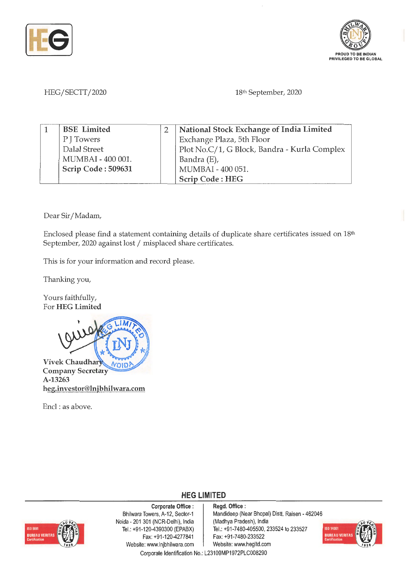



HEG/SECTT/2020 18th September, 2020

| <b>BSE</b> Limited | National Stock Exchange of India Limited     |
|--------------------|----------------------------------------------|
| P J Towers         | Exchange Plaza, 5th Floor                    |
| Dalal Street       | Plot No.C/1, G Block, Bandra - Kurla Complex |
| MUMBAI - 400 001.  | Bandra (E),                                  |
| Scrip Code: 509631 | MUMBAI - 400 051.                            |
|                    | Scrip Code: HEG                              |

Dear Sir/ Madam,

Enclosed please find a statement containing details of duplicate share certificates issued on 18<sup>th</sup> September, 2020 against lost/ misplaced share certificates.

This is for your information and record please.

Thanking you,

Yours faithfully, For **HEG Limited** 



**Company Secretary A-13263 heg.investor@lnjbhilwara.com** 

Encl: as above.



**Corporate Office** : Bhilwara Towers, A-12, Sector-1 Noida - 201 301 (NCR-Delhi), India Tel.: +91 -120-4390300 (EPABX) Fax: +91 -120-4277841 Website: www.lnjbhilwara.com | Website: www.hegltd.com

**Regd. Office** : Mandideep (Near Bhopal) Distt. Raisen - 462046 (Madhya Pradesh), India Tel.: +91-7480-405500, 233524 to 233527 Fax: +91 -7480-233522



Corporate Identification No.: L23109MP1972PLC008290

**HEG LIMITED**